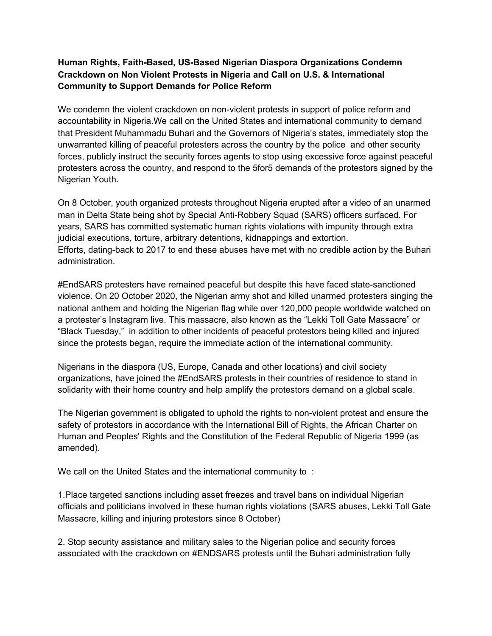## **Human Rights, Faith-Based, US-Based Nigerian Diaspora Organizations Condemn Crackdown on Non Violent Protests in Nigeria and Call on U.S. & International Community to Support Demands for Police Reform**

We condemn the violent crackdown on non-violent protests in support of police reform and accountability in Nigeria.We call on the United States and international community to demand that President Muhammadu Buhari and the Governors of Nigeria's states, immediately stop the unwarranted killing of peaceful protesters across the country by the police and other security forces, publicly instruct the security forces agents to stop using excessive force against peaceful protesters across the country, and respond to the 5for5 demands of the protestors signed by the Nigerian Youth.

On 8 October, youth organized protests throughout Nigeria erupted after a video of an unarmed man in Delta State being shot by Special Anti-Robbery Squad (SARS) officers surfaced. For years, SARS has committed systematic human rights violations with impunity through extra judicial executions, torture, arbitrary detentions, kidnappings and extortion. Efforts, dating-back to 2017 to end these abuses have met with no credible action by the Buhari administration.

#EndSARS protesters have remained peaceful but despite this have faced state-sanctioned violence. On 20 October 2020, the Nigerian army shot and killed unarmed protesters singing the national anthem and holding the Nigerian flag while over 120,000 people worldwide watched on a protester's Instagram live. This massacre, also known as the "Lekki Toll Gate Massacre" or "Black Tuesday," in addition to other incidents of peaceful protestors being killed and injured since the protests began, require the immediate action of the international community.

Nigerians in the diaspora (US, Europe, Canada and other locations) and civil society organizations, have joined the #EndSARS protests in their countries of residence to stand in solidarity with their home country and help amplify the protestors demand on a global scale.

The Nigerian government is obligated to uphold the rights to non-violent protest and ensure the safety of protestors in accordance with the International Bill of Rights, the African Charter on Human and Peoples' Rights and the Constitution of the Federal Republic of Nigeria 1999 (as amended).

We call on the United States and the international community to :

1.Place targeted sanctions including asset freezes and travel bans on individual Nigerian officials and politicians involved in these human rights violations (SARS abuses, Lekki Toll Gate Massacre, killing and injuring protestors since 8 October)

2. Stop security assistance and military sales to the Nigerian police and security forces associated with the crackdown on #ENDSARS protests until the Buhari administration fully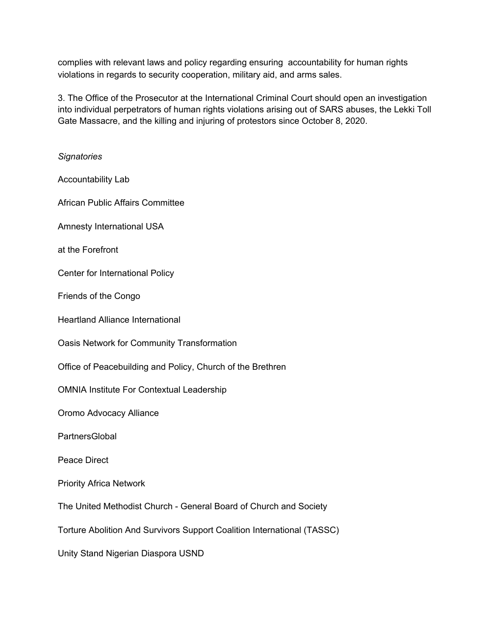complies with relevant laws and policy regarding ensuring accountability for human rights violations in regards to security cooperation, military aid, and arms sales.

3. The Office of the Prosecutor at the International Criminal Court should open an investigation into individual perpetrators of human rights violations arising out of SARS abuses, the Lekki Toll Gate Massacre, and the killing and injuring of protestors since October 8, 2020.

*Signatories* Accountability Lab African Public Affairs Committee Amnesty International USA at the Forefront Center for International Policy Friends of the Congo Heartland Alliance International Oasis Network for Community Transformation Office of Peacebuilding and Policy, Church of the Brethren OMNIA Institute For Contextual Leadership Oromo Advocacy Alliance **PartnersGlobal** Peace Direct Priority Africa Network The United Methodist Church - General Board of Church and Society Torture Abolition And Survivors Support Coalition International (TASSC) Unity Stand Nigerian Diaspora USND